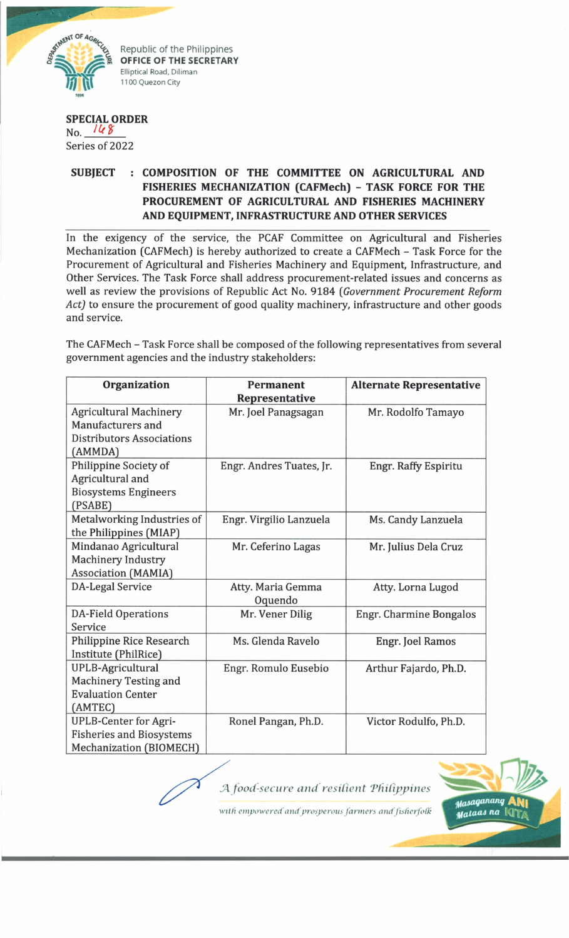

**OFFICE OF THE SECRETARY**<br>
Elliptical Road, Diliman<br>
1100 Quezon City<br>
<sub>1998</sub>

## **SPECIAL ORDER**

 $No.$   $168$ Series of 2022

## **SUBJECT : COMPOSITION OF THE COMMITTEE ON AGRICULTURAL AND FISHERIES MECHANIZATION (CAFMech) - TASK FORCE FOR THE PROCUREMENT OF AGRICULTURAL AND FISHERIES MACHINERY AND EQUIPMENT, INFRASTRUCTURE AND OTHER SERVICES**

In the exigency of the service, the PCAF Committee on Agricultural and Fisheries Mechanization (CAFMech) is hereby authorized to create a CAFMech - Task Force for the Procurement of Agricultural and Fisheries Machinery and Equipment, Infrastructure, and Other Services. The Task Force shall address procurement-related issues and concerns as well as review the provisions of Republic Act No. 9184 *(Government Procurement Reform Act)* to ensure the procurement of good quality machinery, infrastructure and other goods and service.

The CAFMech - Task Force shall be composed of the following representatives from several government agencies and the industry stakeholders:

| Organization                                                                                      | <b>Permanent</b><br>Representative | <b>Alternate Representative</b> |
|---------------------------------------------------------------------------------------------------|------------------------------------|---------------------------------|
| <b>Agricultural Machinery</b><br>Manufacturers and<br><b>Distributors Associations</b><br>(AMMDA) | Mr. Joel Panagsagan                | Mr. Rodolfo Tamayo              |
| Philippine Society of<br>Agricultural and<br><b>Biosystems Engineers</b><br>(PSABE)               | Engr. Andres Tuates, Jr.           | Engr. Raffy Espiritu            |
| Metalworking Industries of<br>the Philippines (MIAP)                                              | Engr. Virgilio Lanzuela            | Ms. Candy Lanzuela              |
| Mindanao Agricultural<br><b>Machinery Industry</b><br><b>Association (MAMIA)</b>                  | Mr. Ceferino Lagas                 | Mr. Julius Dela Cruz            |
| <b>DA-Legal Service</b>                                                                           | Atty. Maria Gemma<br>Oquendo       | Atty. Lorna Lugod               |
| <b>DA-Field Operations</b><br>Service                                                             | Mr. Vener Dilig                    | <b>Engr. Charmine Bongalos</b>  |
| Philippine Rice Research<br>Institute (PhilRice)                                                  | Ms. Glenda Ravelo                  | Engr. Joel Ramos                |
| UPLB-Agricultural<br><b>Machinery Testing and</b><br><b>Evaluation Center</b><br>(AMTEC)          | Engr. Romulo Eusebio               | Arthur Fajardo, Ph.D.           |
| <b>UPLB-Center for Agri-</b><br><b>Fisheries and Biosystems</b><br>Mechanization (BIOMECH)        | Ronel Pangan, Ph.D.                | Victor Rodulfo, Ph.D.           |

*SA food-secure and resilient 'Philippines* Masaganang Mataas na K

with empowered and prosperous farmers and fisherfolk